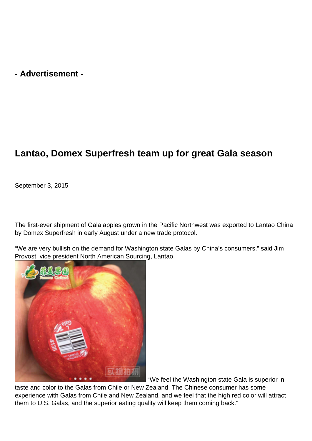## **- Advertisement -**

## **Lantao, Domex Superfresh team up for great Gala season**

September 3, 2015

The first-ever shipment of Gala apples grown in the Pacific Northwest was exported to Lantao China by Domex Superfresh in early August under a new trade protocol.

"We are very bullish on the demand for Washington state Galas by China's consumers," said Jim Provost, vice president North American Sourcing, Lantao.



"We feel the Washington state Gala is superior in

taste and color to the Galas from Chile or New Zealand. The Chinese consumer has some experience with Galas from Chile and New Zealand, and we feel that the high red color will attract them to U.S. Galas, and the superior eating quality will keep them coming back."